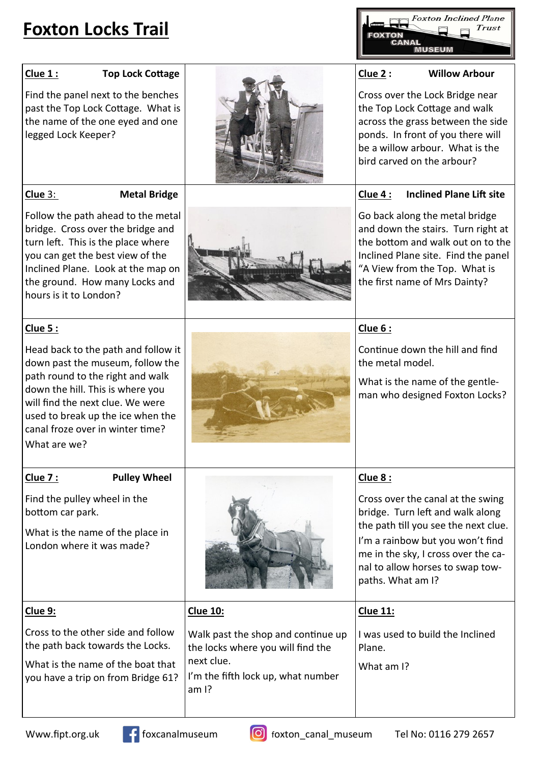## **Foxton Locks Trail**

**Foxton Inclined Plane Trust** 

## **Clue 1 : Top Lock Cottage** Find the panel next to the benches past the Top Lock Cottage. What is the name of the one eyed and one legged Lock Keeper? **Clue 2 : Willow Arbour** Cross over the Lock Bridge near the Top Lock Cottage and walk across the grass between the side ponds. In front of you there will be a willow arbour. What is the bird carved on the arbour? **Clue** 3: **Metal Bridge** Follow the path ahead to the metal bridge. Cross over the bridge and turn left. This is the place where you can get the best view of the Inclined Plane. Look at the map on the ground. How many Locks and hours is it to London? **Clue 4 : Inclined Plane Lift site** Go back along the metal bridge and down the stairs. Turn right at the bottom and walk out on to the Inclined Plane site. Find the panel "A View from the Top. What is the first name of Mrs Dainty? **Clue 5 :**  Head back to the path and follow it down past the museum, follow the path round to the right and walk down the hill. This is where you will find the next clue. We were used to break up the ice when the canal froze over in winter time? What are we? **Clue 6 :**  Continue down the hill and find the metal model. What is the name of the gentleman who designed Foxton Locks? **Clue 7 : Pulley Wheel** Find the pulley wheel in the bottom car park. What is the name of the place in London where it was made? **Clue 8 :**  Cross over the canal at the swing bridge. Turn left and walk along the path till you see the next clue. I'm a rainbow but you won't find me in the sky, I cross over the canal to allow horses to swap towpaths. What am I? **Clue 9:**  Cross to the other side and follow the path back towards the Locks. What is the name of the boat that you have a trip on from Bridge 61? **Clue 10:** Walk past the shop and continue up the locks where you will find the next clue. I'm the fifth lock up, what number am I? **Clue 11:**  I was used to build the Inclined Plane. What am I?